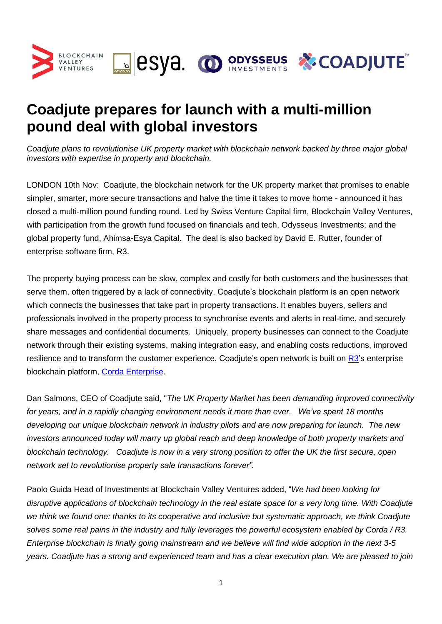

# **Coadjute prepares for launch with a multi-million pound deal with global investors**

*Coadjute plans to revolutionise UK property market with blockchain network backed by three major global investors with expertise in property and blockchain.*

LONDON 10th Nov: Coadjute, the blockchain network for the UK property market that promises to enable simpler, smarter, more secure transactions and halve the time it takes to move home - announced it has closed a multi-million pound funding round. Led by Swiss Venture Capital firm, Blockchain Valley Ventures, with participation from the growth fund focused on financials and tech, Odysseus Investments; and the global property fund, Ahimsa-Esya Capital. The deal is also backed by David E. Rutter, founder of enterprise software firm, R3.

The property buying process can be slow, complex and costly for both customers and the businesses that serve them, often triggered by a lack of connectivity. Coadjute's blockchain platform is an open network which connects the businesses that take part in property transactions. It enables buyers, sellers and professionals involved in the property process to synchronise events and alerts in real-time, and securely share messages and confidential documents. Uniquely, property businesses can connect to the Coadjute network through their existing systems, making integration easy, and enabling costs reductions, improved resilience and to transform the customer experience. Coadjute's open network is built on [R3](https://www.r3.com/)'s enterprise blockchain platform, [Corda Enterprise.](mailto:https://www.corda.net/?gclid=Cj0KCQjwwOz6BRCgARIsAKEG4FWY_9btuyKw_8gYAZenfKG6Ru0CKf04BG8AVfrJG8os1ZE_CYz8DcIaAm6-EALw_wcB)

Dan Salmons, CEO of Coadjute said, "*The UK Property Market has been demanding improved connectivity for years, and in a rapidly changing environment needs it more than ever. We've spent 18 months developing our unique blockchain network in industry pilots and are now preparing for launch. The new investors announced today will marry up global reach and deep knowledge of both property markets and blockchain technology. Coadjute is now in a very strong position to offer the UK the first secure, open network set to revolutionise property sale transactions forever".*

Paolo Guida Head of Investments at Blockchain Valley Ventures added, "*We had been looking for disruptive applications of blockchain technology in the real estate space for a very long time. With Coadjute we think we found one: thanks to its cooperative and inclusive but systematic approach, we think Coadjute solves some real pains in the industry and fully leverages the powerful ecosystem enabled by Corda / R3. Enterprise blockchain is finally going mainstream and we believe will find wide adoption in the next 3-5 years. Coadjute has a strong and experienced team and has a clear execution plan. We are pleased to join*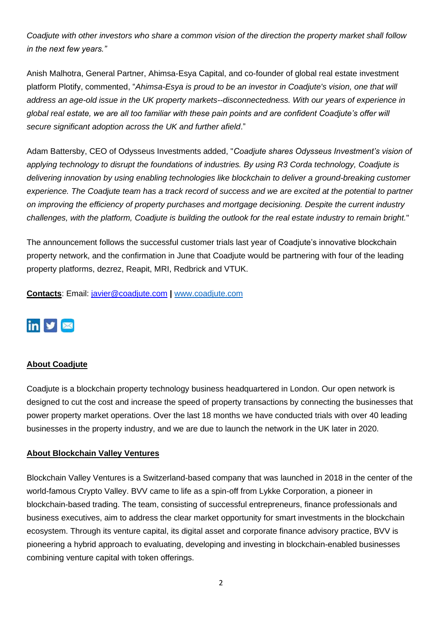*Coadjute with other investors who share a common vision of the direction the property market shall follow in the next few years."*

Anish Malhotra, General Partner, Ahimsa-Esya Capital, and co-founder of global real estate investment platform Plotify, commented, "*Ahimsa-Esya is proud to be an investor in Coadjute's vision, one that will address an age-old issue in the UK property markets--disconnectedness. With our years of experience in global real estate, we are all too familiar with these pain points and are confident Coadjute's offer will secure significant adoption across the UK and further afield*."

Adam Battersby, CEO of Odysseus Investments added, "*Coadjute shares Odysseus Investment's vision of applying technology to disrupt the foundations of industries. By using R3 Corda technology, Coadjute is delivering innovation by using enabling technologies like blockchain to deliver a ground-breaking customer experience. The Coadjute team has a track record of success and we are excited at the potential to partner on improving the efficiency of property purchases and mortgage decisioning. Despite the current industry challenges, with the platform, Coadjute is building the outlook for the real estate industry to remain bright.*"

The announcement follows the successful customer trials last year of Coadjute's innovative blockchain property network, and the confirmation in June that Coadjute would be partnering with four of the leading property platforms, dezrez, Reapit, MRI, Redbrick and VTUK.

**Contacts**: Email: [javier@coadjute.com](mailto:javier@coadjute.com) **|** [www.coadjute.com](http://www.coadjute.com/)

# $\overline{\mathbf{m}}$   $\mathbf{v}$   $\overline{\mathbf{m}}$

### **About Coadjute**

Coadjute is a blockchain property technology business headquartered in London. Our open network is designed to cut the cost and increase the speed of property transactions by connecting the businesses that power property market operations. Over the last 18 months we have conducted trials with over 40 leading businesses in the property industry, and we are due to launch the network in the UK later in 2020.

#### **About Blockchain Valley Ventures**

Blockchain Valley Ventures is a Switzerland-based company that was launched in 2018 in the center of the world-famous Crypto Valley. BVV came to life as a spin-off from Lykke Corporation, a pioneer in blockchain-based trading. The team, consisting of successful entrepreneurs, finance professionals and business executives, aim to address the clear market opportunity for smart investments in the blockchain ecosystem. Through its venture capital, its digital asset and corporate finance advisory practice, BVV is pioneering a hybrid approach to evaluating, developing and investing in blockchain-enabled businesses combining venture capital with token offerings.